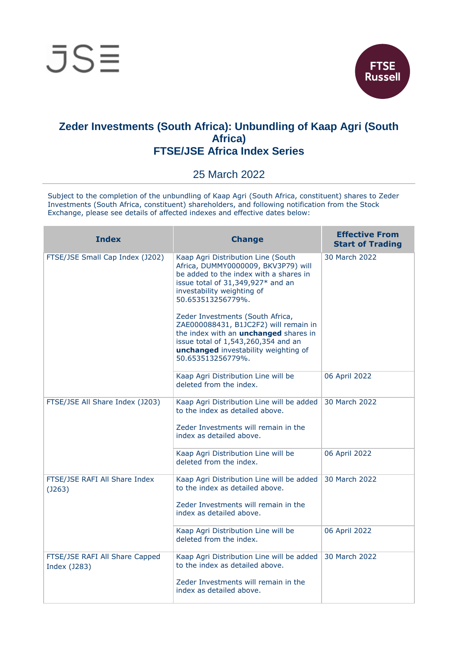



## **Zeder Investments (South Africa): Unbundling of Kaap Agri (South Africa) FTSE/JSE Africa Index Series**

## 25 March 2022

Subject to the completion of the unbundling of Kaap Agri (South Africa, constituent) shares to Zeder Investments (South Africa, constituent) shareholders, and following notification from the Stock Exchange, please see details of affected indexes and effective dates below:

| <b>Index</b>                                   | <b>Change</b>                                                                                                                                                                                                                 | <b>Effective From</b><br><b>Start of Trading</b> |
|------------------------------------------------|-------------------------------------------------------------------------------------------------------------------------------------------------------------------------------------------------------------------------------|--------------------------------------------------|
| FTSE/JSE Small Cap Index (J202)                | Kaap Agri Distribution Line (South<br>Africa, DUMMY0000009, BKV3P79) will<br>be added to the index with a shares in<br>issue total of 31,349,927* and an<br>investability weighting of<br>50.653513256779%.                   | 30 March 2022                                    |
|                                                | Zeder Investments (South Africa,<br>ZAE000088431, B1JC2F2) will remain in<br>the index with an <b>unchanged</b> shares in<br>issue total of 1,543,260,354 and an<br>unchanged investability weighting of<br>50.653513256779%. |                                                  |
|                                                | Kaap Agri Distribution Line will be<br>deleted from the index.                                                                                                                                                                | 06 April 2022                                    |
| FTSE/JSE All Share Index (J203)                | Kaap Agri Distribution Line will be added<br>to the index as detailed above.<br>Zeder Investments will remain in the<br>index as detailed above.                                                                              | 30 March 2022                                    |
|                                                | Kaap Agri Distribution Line will be<br>deleted from the index.                                                                                                                                                                | 06 April 2022                                    |
| FTSE/JSE RAFI All Share Index<br>(J263)        | Kaap Agri Distribution Line will be added<br>to the index as detailed above.<br>Zeder Investments will remain in the<br>index as detailed above.                                                                              | 30 March 2022                                    |
|                                                | Kaap Agri Distribution Line will be<br>deleted from the index.                                                                                                                                                                | 06 April 2022                                    |
| FTSE/JSE RAFI All Share Capped<br>Index (J283) | Kaap Agri Distribution Line will be added<br>to the index as detailed above.<br>Zeder Investments will remain in the<br>index as detailed above.                                                                              | 30 March 2022                                    |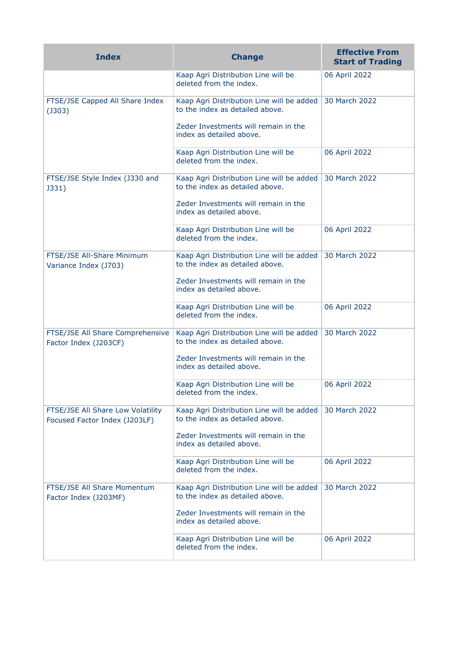| <b>Index</b>                                                       | <b>Change</b>                                                                | <b>Effective From</b><br><b>Start of Trading</b> |
|--------------------------------------------------------------------|------------------------------------------------------------------------------|--------------------------------------------------|
|                                                                    | Kaap Agri Distribution Line will be<br>deleted from the index.               | 06 April 2022                                    |
| FTSE/JSE Capped All Share Index<br>$($ J303 $)$                    | Kaap Agri Distribution Line will be added<br>to the index as detailed above. | 30 March 2022                                    |
|                                                                    | Zeder Investments will remain in the<br>index as detailed above.             |                                                  |
|                                                                    | Kaap Agri Distribution Line will be<br>deleted from the index.               | 06 April 2022                                    |
| FTSE/JSE Style Index (J330 and<br>J331)                            | Kaap Agri Distribution Line will be added<br>to the index as detailed above. | 30 March 2022                                    |
|                                                                    | Zeder Investments will remain in the<br>index as detailed above.             |                                                  |
|                                                                    | Kaap Agri Distribution Line will be<br>deleted from the index.               | 06 April 2022                                    |
| FTSE/JSE All-Share Minimum<br>Variance Index (J703)                | Kaap Agri Distribution Line will be added<br>to the index as detailed above. | 30 March 2022                                    |
|                                                                    | Zeder Investments will remain in the<br>index as detailed above.             |                                                  |
|                                                                    | Kaap Agri Distribution Line will be<br>deleted from the index.               | 06 April 2022                                    |
| FTSE/JSE All Share Comprehensive<br>Factor Index (J203CF)          | Kaap Agri Distribution Line will be added<br>to the index as detailed above. | 30 March 2022                                    |
|                                                                    | Zeder Investments will remain in the<br>index as detailed above.             |                                                  |
|                                                                    | Kaap Agri Distribution Line will be<br>deleted from the index.               | 06 April 2022                                    |
| FTSE/JSE All Share Low Volatility<br>Focused Factor Index (J203LF) | Kaap Agri Distribution Line will be added<br>to the index as detailed above. | 30 March 2022                                    |
|                                                                    | Zeder Investments will remain in the<br>index as detailed above.             |                                                  |
|                                                                    | Kaap Agri Distribution Line will be<br>deleted from the index.               | 06 April 2022                                    |
| FTSE/JSE All Share Momentum<br>Factor Index (J203MF)               | Kaap Agri Distribution Line will be added<br>to the index as detailed above. | 30 March 2022                                    |
|                                                                    | Zeder Investments will remain in the<br>index as detailed above.             |                                                  |
|                                                                    | Kaap Agri Distribution Line will be<br>deleted from the index.               | 06 April 2022                                    |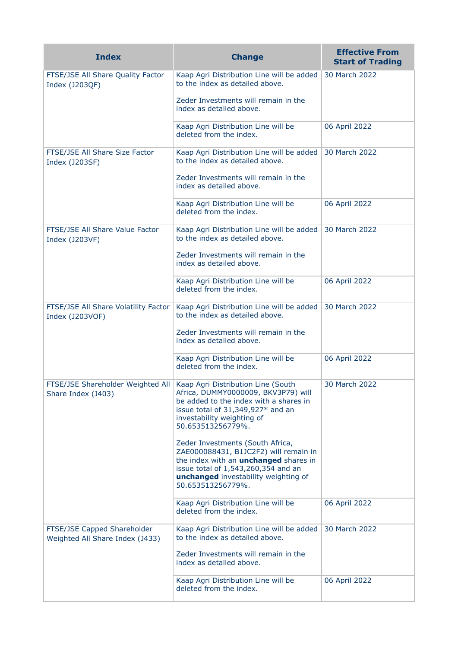| <b>Index</b>                                                   | <b>Change</b>                                                                                                                                                                                                                 | <b>Effective From</b><br><b>Start of Trading</b> |
|----------------------------------------------------------------|-------------------------------------------------------------------------------------------------------------------------------------------------------------------------------------------------------------------------------|--------------------------------------------------|
| FTSE/JSE All Share Quality Factor<br>Index (J203QF)            | Kaap Agri Distribution Line will be added<br>to the index as detailed above.                                                                                                                                                  | 30 March 2022                                    |
|                                                                | Zeder Investments will remain in the<br>index as detailed above.                                                                                                                                                              |                                                  |
|                                                                | Kaap Agri Distribution Line will be<br>deleted from the index.                                                                                                                                                                | 06 April 2022                                    |
| FTSE/JSE All Share Size Factor<br>Index (J203SF)               | Kaap Agri Distribution Line will be added<br>to the index as detailed above.                                                                                                                                                  | 30 March 2022                                    |
|                                                                | Zeder Investments will remain in the<br>index as detailed above.                                                                                                                                                              |                                                  |
|                                                                | Kaap Agri Distribution Line will be<br>deleted from the index.                                                                                                                                                                | 06 April 2022                                    |
| FTSE/JSE All Share Value Factor<br>Index (J203VF)              | Kaap Agri Distribution Line will be added<br>to the index as detailed above.                                                                                                                                                  | 30 March 2022                                    |
|                                                                | Zeder Investments will remain in the<br>index as detailed above.                                                                                                                                                              |                                                  |
|                                                                | Kaap Agri Distribution Line will be<br>deleted from the index.                                                                                                                                                                | 06 April 2022                                    |
| FTSE/JSE All Share Volatility Factor<br>Index (J203VOF)        | Kaap Agri Distribution Line will be added<br>to the index as detailed above.                                                                                                                                                  | 30 March 2022                                    |
|                                                                | Zeder Investments will remain in the<br>index as detailed above.                                                                                                                                                              |                                                  |
|                                                                | Kaap Agri Distribution Line will be<br>deleted from the index.                                                                                                                                                                | 06 April 2022                                    |
| FTSE/JSE Shareholder Weighted All<br>Share Index (J403)        | Kaap Agri Distribution Line (South<br>Africa, DUMMY0000009, BKV3P79) will<br>be added to the index with a shares in<br>issue total of 31,349,927* and an<br>investability weighting of<br>50.653513256779%.                   | 30 March 2022                                    |
|                                                                | Zeder Investments (South Africa,<br>ZAE000088431, B1JC2F2) will remain in<br>the index with an <i>unchanged</i> shares in<br>issue total of 1,543,260,354 and an<br>unchanged investability weighting of<br>50.653513256779%. |                                                  |
|                                                                | Kaap Agri Distribution Line will be<br>deleted from the index.                                                                                                                                                                | 06 April 2022                                    |
| FTSE/JSE Capped Shareholder<br>Weighted All Share Index (J433) | Kaap Agri Distribution Line will be added<br>to the index as detailed above.                                                                                                                                                  | 30 March 2022                                    |
|                                                                | Zeder Investments will remain in the<br>index as detailed above.                                                                                                                                                              |                                                  |
|                                                                | Kaap Agri Distribution Line will be<br>deleted from the index.                                                                                                                                                                | 06 April 2022                                    |